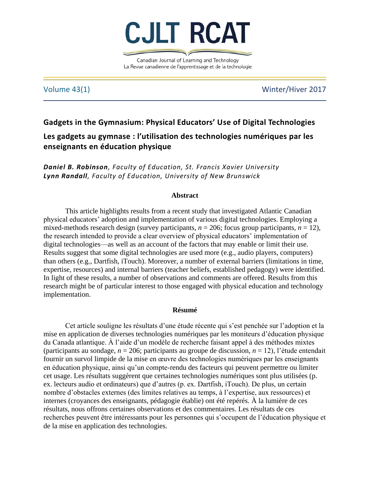

Canadian Journal of Learning and Technology La Revue canadienne de l'apprentissage et de la technologie

Volume 43(1) Volume 43(1)

# **Gadgets in the Gymnasium: Physical Educators' Use of Digital Technologies Les gadgets au gymnase : l'utilisation des technologies numériques par les enseignants en éducation physique**

*Daniel B. Robinson, Faculty of Education, St. Francis Xavier University Lynn Randall, Faculty of Education, University of New Brunswick*

# **Abstract**

This article highlights results from a recent study that investigated Atlantic Canadian physical educators' adoption and implementation of various digital technologies. Employing a mixed-methods research design (survey participants,  $n = 206$ ; focus group participants,  $n = 12$ ), the research intended to provide a clear overview of physical educators' implementation of digital technologies—as well as an account of the factors that may enable or limit their use. Results suggest that some digital technologies are used more (e.g., audio players, computers) than others (e.g., Dartfish, iTouch). Moreover, a number of external barriers (limitations in time, expertise, resources) and internal barriers (teacher beliefs, established pedagogy) were identified. In light of these results, a number of observations and comments are offered. Results from this research might be of particular interest to those engaged with physical education and technology implementation.

# **Résumé**

Cet article souligne les résultats d'une étude récente qui s'est penchée sur l'adoption et la mise en application de diverses technologies numériques par les moniteurs d'éducation physique du Canada atlantique. À l'aide d'un modèle de recherche faisant appel à des méthodes mixtes (participants au sondage, *n* = 206; participants au groupe de discussion, *n* = 12), l'étude entendait fournir un survol limpide de la mise en œuvre des technologies numériques par les enseignants en éducation physique, ainsi qu'un compte-rendu des facteurs qui peuvent permettre ou limiter cet usage. Les résultats suggèrent que certaines technologies numériques sont plus utilisées (p. ex. lecteurs audio et ordinateurs) que d'autres (p. ex. Dartfish, iTouch). De plus, un certain nombre d'obstacles externes (des limites relatives au temps, à l'expertise, aux ressources) et internes (croyances des enseignants, pédagogie établie) ont été repérés. À la lumière de ces résultats, nous offrons certaines observations et des commentaires. Les résultats de ces recherches peuvent être intéressants pour les personnes qui s'occupent de l'éducation physique et de la mise en application des technologies.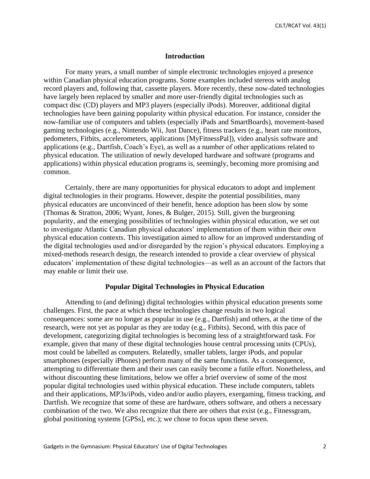# **Introduction**

For many years, a small number of simple electronic technologies enjoyed a presence within Canadian physical education programs. Some examples included stereos with analog record players and, following that, cassette players. More recently, these now-dated technologies have largely been replaced by smaller and more user-friendly digital technologies such as compact disc (CD) players and MP3 players (especially iPods). Moreover, additional digital technologies have been gaining popularity within physical education. For instance, consider the now-familiar use of computers and tablets (especially iPads and SmartBoards), movement-based gaming technologies (e.g., Nintendo Wii, Just Dance), fitness trackers (e.g., heart rate monitors, pedometers, Fitbits, accelerometers, applications [MyFitnessPal]), video analysis software and applications (e.g., Dartfish, Coach's Eye), as well as a number of other applications related to physical education. The utilization of newly developed hardware and software (programs and applications) within physical education programs is, seemingly, becoming more promising and common.

Certainly, there are many opportunities for physical educators to adopt and implement digital technologies in their programs. However, despite the potential possibilities, many physical educators are unconvinced of their benefit, hence adoption has been slow by some (Thomas & Stratton, 2006; Wyant, Jones, & Bulger, 2015). Still, given the burgeoning popularity, and the emerging possibilities of technologies within physical education, we set out to investigate Atlantic Canadian physical educators' implementation of them within their own physical education contexts. This investigation aimed to allow for an improved understanding of the digital technologies used and/or disregarded by the region's physical educators. Employing a mixed-methods research design, the research intended to provide a clear overview of physical educators' implementation of these digital technologies—as well as an account of the factors that may enable or limit their use.

#### **Popular Digital Technologies in Physical Education**

Attending to (and defining) digital technologies within physical education presents some challenges. First, the pace at which these technologies change results in two logical consequences: some are no longer as popular in use (e.g., Dartfish) and others, at the time of the research, were not yet as popular as they are today (e.g., Fitbits). Second, with this pace of development, categorizing digital technologies is becoming less of a straightforward task. For example, given that many of these digital technologies house central processing units (CPUs), most could be labelled as computers. Relatedly, smaller tablets, larger iPods, and popular smartphones (especially iPhones) perform many of the same functions. As a consequence, attempting to differentiate them and their uses can easily become a futile effort. Nonetheless, and without discounting these limitations, below we offer a brief overview of some of the most popular digital technologies used within physical education. These include computers, tablets and their applications, MP3s/iPods, video and/or audio players, exergaming, fitness tracking, and Dartfish. We recognize that some of these are hardware, others software, and others a necessary combination of the two. We also recognize that there are others that exist (e.g., Fitnessgram, global positioning systems [GPSs], etc.); we chose to focus upon these seven.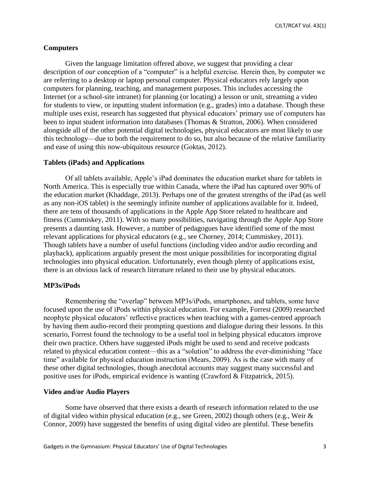CJLT/RCAT Vol. 43(1)

# **Computers**

Given the language limitation offered above, we suggest that providing a clear description of *our* conception of a "computer" is a helpful exercise. Herein then, by computer we are referring to a desktop or laptop personal computer. Physical educators rely largely upon computers for planning, teaching, and management purposes. This includes accessing the Internet (or a school-site intranet) for planning (or locating) a lesson or unit, streaming a video for students to view, or inputting student information (e.g., grades) into a database. Though these multiple uses exist, research has suggested that physical educators' primary use of computers has been to input student information into databases (Thomas & Stratton, 2006). When considered alongside all of the other potential digital technologies, physical educators are most likely to use this technology—due to both the requirement to do so, but also because of the relative familiarity and ease of using this now-ubiquitous resource (Goktas, 2012).

#### **Tablets (iPads) and Applications**

Of all tablets available, Apple's iPad dominates the education market share for tablets in North America. This is especially true within Canada, where the iPad has captured over 90% of the education market (Khaddage, 2013). Perhaps one of the greatest strengths of the iPad (as well as any non-iOS tablet) is the seemingly infinite number of applications available for it. Indeed, there are tens of thousands of applications in the Apple App Store related to healthcare and fitness (Cummiskey, 2011). With so many possibilities, navigating through the Apple App Store presents a daunting task. However, a number of pedagogues have identified some of the most relevant applications for physical educators (e.g., see Chorney, 2014; Cummiskey, 2011). Though tablets have a number of useful functions (including video and/or audio recording and playback), applications arguably present the most unique possibilities for incorporating digital technologies into physical education. Unfortunately, even though plenty of applications exist, there is an obvious lack of research literature related to their use by physical educators.

#### **MP3s/iPods**

Remembering the "overlap" between MP3s/iPods, smartphones, and tablets, some have focused upon the use of iPods within physical education. For example, Forrest (2009) researched neophyte physical educators' reflective practices when teaching with a games-centred approach by having them audio-record their prompting questions and dialogue during their lessons. In this scenario, Forrest found the technology to be a useful tool in helping physical educators improve their own practice. Others have suggested iPods might be used to send and receive podcasts related to physical education content—this as a "solution" to address the ever-diminishing "face time" available for physical education instruction (Mears, 2009). As is the case with many of these other digital technologies, though anecdotal accounts may suggest many successful and positive uses for iPods, empirical evidence is wanting (Crawford & Fitzpatrick, 2015).

# **Video and/or Audio Players**

Some have observed that there exists a dearth of research information related to the use of digital video within physical education (e.g., see Green, 2002) though others (e.g., Weir & Connor, 2009) have suggested the benefits of using digital video are plentiful. These benefits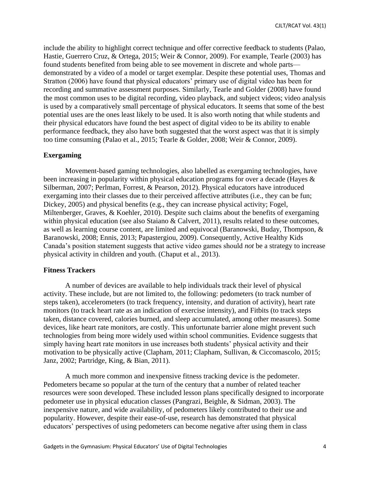include the ability to highlight correct technique and offer corrective feedback to students (Palao, Hastie, Guerrero Cruz, & Ortega, 2015; Weir & Connor, 2009). For example, Tearle (2003) has found students benefited from being able to see movement in discrete and whole parts demonstrated by a video of a model or target exemplar. Despite these potential uses, Thomas and Stratton (2006) have found that physical educators' primary use of digital video has been for recording and summative assessment purposes. Similarly, Tearle and Golder (2008) have found the most common uses to be digital recording, video playback, and subject videos; video analysis is used by a comparatively small percentage of physical educators. It seems that some of the best potential uses are the ones least likely to be used. It is also worth noting that while students and their physical educators have found the best aspect of digital video to be its ability to enable performance feedback, they also have both suggested that the worst aspect was that it is simply too time consuming (Palao et al., 2015; Tearle & Golder, 2008; Weir & Connor, 2009).

#### **Exergaming**

Movement-based gaming technologies, also labelled as exergaming technologies, have been increasing in popularity within physical education programs for over a decade (Hayes & Silberman, 2007; Perlman, Forrest, & Pearson, 2012). Physical educators have introduced exergaming into their classes due to their perceived affective attributes (i.e., they can be fun; Dickey, 2005) and physical benefits (e.g., they can increase physical activity; Fogel, Miltenberger, Graves, & Koehler, 2010). Despite such claims about the benefits of exergaming within physical education (see also Staiano & Calvert, 2011), results related to these outcomes, as well as learning course content, are limited and equivocal (Baranowski, Buday, Thompson, & Baranowski, 2008; Ennis, 2013; Papastergiou, 2009). Consequently, Active Healthy Kids Canada's position statement suggests that active video games should *not* be a strategy to increase physical activity in children and youth. (Chaput et al., 2013).

#### **Fitness Trackers**

A number of devices are available to help individuals track their level of physical activity. These include, but are not limited to, the following: pedometers (to track number of steps taken), accelerometers (to track frequency, intensity, and duration of activity), heart rate monitors (to track heart rate as an indication of exercise intensity), and Fitbits (to track steps taken, distance covered, calories burned, and sleep accumulated, among other measures). Some devices, like heart rate monitors, are costly. This unfortunate barrier alone might prevent such technologies from being more widely used within school communities. Evidence suggests that simply having heart rate monitors in use increases both students' physical activity and their motivation to be physically active (Clapham, 2011; Clapham, Sullivan, & Ciccomascolo, 2015; Janz, 2002; Partridge, King, & Bian, 2011).

A much more common and inexpensive fitness tracking device is the pedometer. Pedometers became so popular at the turn of the century that a number of related teacher resources were soon developed. These included lesson plans specifically designed to incorporate pedometer use in physical education classes (Pangrazi, Beighle, & Sidman, 2003). The inexpensive nature, and wide availability, of pedometers likely contributed to their use and popularity. However, despite their ease-of-use, research has demonstrated that physical educators' perspectives of using pedometers can become negative after using them in class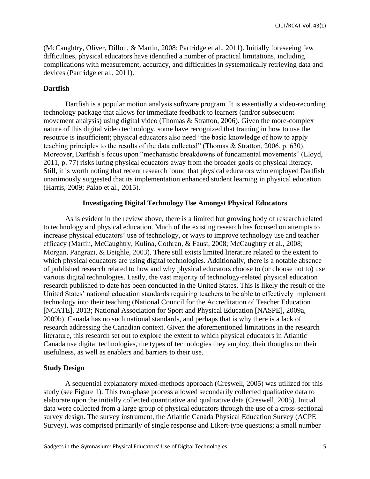(McCaughtry, Oliver, Dillon, & Martin, 2008; Partridge et al., 2011). Initially foreseeing few difficulties, physical educators have identified a number of practical limitations, including complications with measurement, accuracy, and difficulties in systematically retrieving data and devices (Partridge et al., 2011).

#### **Dartfish**

Dartfish is a popular motion analysis software program. It is essentially a video-recording technology package that allows for immediate feedback to learners (and/or subsequent movement analysis) using digital video (Thomas & Stratton, 2006). Given the more-complex nature of this digital video technology, some have recognized that training in how to use the resource is insufficient; physical educators also need "the basic knowledge of how to apply teaching principles to the results of the data collected" (Thomas & Stratton, 2006, p. 630). Moreover, Dartfish's focus upon "mechanistic breakdowns of fundamental movements" (Lloyd, 2011, p. 77) risks luring physical educators away from the broader goals of physical literacy. Still, it is worth noting that recent research found that physical educators who employed Dartfish unanimously suggested that its implementation enhanced student learning in physical education (Harris, 2009; Palao et al., 2015).

# **Investigating Digital Technology Use Amongst Physical Educators**

As is evident in the review above, there is a limited but growing body of research related to technology and physical education. Much of the existing research has focused on attempts to increase physical educators' use of technology, or ways to improve technology use and teacher efficacy (Martin, McCaughtry, Kulina, Cothran, & Faust, 2008; McCaughtry et al., 2008; Morgan, Pangrazi, & Beighle, 2003). There still exists limited literature related to the extent to which physical educators are using digital technologies. Additionally, there is a notable absence of published research related to how and why physical educators choose to (or choose not to) use various digital technologies. Lastly, the vast majority of technology-related physical education research published to date has been conducted in the United States. This is likely the result of the United States' national education standards requiring teachers to be able to effectively implement technology into their teaching (National Council for the Accreditation of Teacher Education [NCATE], 2013; National Association for Sport and Physical Education [NASPE], 2009a, 2009b). Canada has no such national standards, and perhaps that is why there is a lack of research addressing the Canadian context. Given the aforementioned limitations in the research literature, this research set out to explore the extent to which physical educators in Atlantic Canada use digital technologies, the types of technologies they employ, their thoughts on their usefulness, as well as enablers and barriers to their use.

# **Study Design**

A sequential explanatory mixed-methods approach (Creswell, 2005) was utilized for this study (see Figure 1). This two-phase process allowed secondarily collected qualitative data to elaborate upon the initially collected quantitative and qualitative data (Creswell, 2005). Initial data were collected from a large group of physical educators through the use of a cross-sectional survey design. The survey instrument, the Atlantic Canada Physical Education Survey (ACPE Survey), was comprised primarily of single response and Likert-type questions; a small number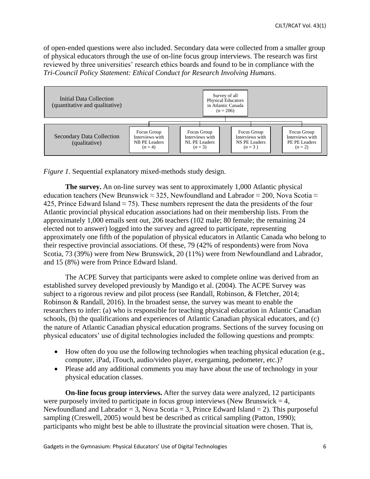of open-ended questions were also included. Secondary data were collected from a smaller group of physical educators through the use of on-line focus group interviews. The research was first reviewed by three universities' research ethics boards and found to be in compliance with the *Tri-Council Policy Statement: Ethical Conduct for Research Involving Humans*.



*Figure 1*. Sequential explanatory mixed-methods study design.

**The survey.** An on-line survey was sent to approximately 1,000 Atlantic physical education teachers (New Brunswick ≈ 325, Newfoundland and Labrador ≈ 200, Nova Scotia ≈ 425, Prince Edward Island  $\approx$  75). These numbers represent the data the presidents of the four Atlantic provincial physical education associations had on their membership lists. From the approximately 1,000 emails sent out, 206 teachers (102 male; 80 female; the remaining 24 elected not to answer) logged into the survey and agreed to participate, representing approximately one fifth of the population of physical educators in Atlantic Canada who belong to their respective provincial associations. Of these, 79 (42% of respondents) were from Nova Scotia, 73 (39%) were from New Brunswick, 20 (11%) were from Newfoundland and Labrador, and 15 (8%) were from Prince Edward Island.

The ACPE Survey that participants were asked to complete online was derived from an established survey developed previously by Mandigo et al. (2004). The ACPE Survey was subject to a rigorous review and pilot process (see Randall, Robinson, & Fletcher, 2014; Robinson & Randall, 2016). In the broadest sense, the survey was meant to enable the researchers to infer: (a) who is responsible for teaching physical education in Atlantic Canadian schools, (b) the qualifications and experiences of Atlantic Canadian physical educators, and (c) the nature of Atlantic Canadian physical education programs. Sections of the survey focusing on physical educators' use of digital technologies included the following questions and prompts:

- How often do you use the following technologies when teaching physical education (e.g., computer, iPad, iTouch, audio/video player, exergaming, pedometer, etc.)?
- Please add any additional comments you may have about the use of technology in your physical education classes.

**On-line focus group interviews.** After the survey data were analyzed, 12 participants were purposely invited to participate in focus group interviews (New Brunswick  $= 4$ , Newfoundland and Labrador = 3, Nova Scotia = 3, Prince Edward Island = 2). This purposeful sampling (Creswell, 2005) would best be described as critical sampling (Patton, 1990); participants who might best be able to illustrate the provincial situation were chosen. That is,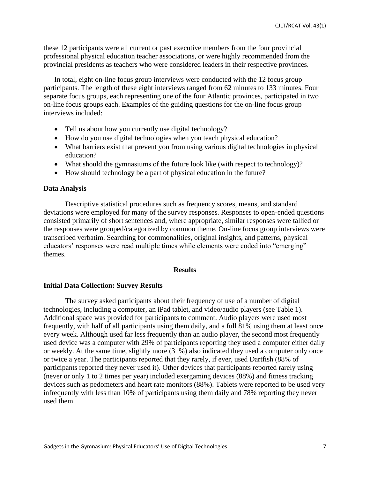these 12 participants were all current or past executive members from the four provincial professional physical education teacher associations, or were highly recommended from the provincial presidents as teachers who were considered leaders in their respective provinces.

In total, eight on-line focus group interviews were conducted with the 12 focus group participants. The length of these eight interviews ranged from 62 minutes to 133 minutes. Four separate focus groups, each representing one of the four Atlantic provinces, participated in two on-line focus groups each. Examples of the guiding questions for the on-line focus group interviews included:

- Tell us about how you currently use digital technology?
- How do you use digital technologies when you teach physical education?
- What barriers exist that prevent you from using various digital technologies in physical education?
- What should the gymnasiums of the future look like (with respect to technology)?
- How should technology be a part of physical education in the future?

#### **Data Analysis**

Descriptive statistical procedures such as frequency scores, means, and standard deviations were employed for many of the survey responses. Responses to open-ended questions consisted primarily of short sentences and, where appropriate, similar responses were tallied or the responses were grouped/categorized by common theme. On-line focus group interviews were transcribed verbatim. Searching for commonalities, original insights, and patterns, physical educators' responses were read multiple times while elements were coded into "emerging" themes.

# **Results**

#### **Initial Data Collection: Survey Results**

The survey asked participants about their frequency of use of a number of digital technologies, including a computer, an iPad tablet, and video/audio players (see Table 1). Additional space was provided for participants to comment. Audio players were used most frequently, with half of all participants using them daily, and a full 81% using them at least once every week. Although used far less frequently than an audio player, the second most frequently used device was a computer with 29% of participants reporting they used a computer either daily or weekly. At the same time, slightly more (31%) also indicated they used a computer only once or twice a year. The participants reported that they rarely, if ever, used Dartfish (88% of participants reported they never used it). Other devices that participants reported rarely using (never or only 1 to 2 times per year) included exergaming devices (88%) and fitness tracking devices such as pedometers and heart rate monitors (88%). Tablets were reported to be used very infrequently with less than 10% of participants using them daily and 78% reporting they never used them.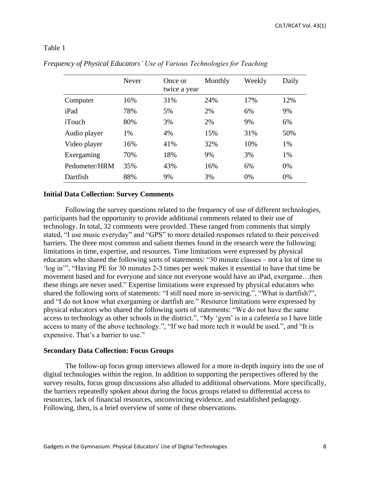# Table 1

|               | Never | Once or<br>twice a year | Monthly | Weekly | Daily |
|---------------|-------|-------------------------|---------|--------|-------|
| Computer      | 16%   | 31%                     | 24%     | 17%    | 12%   |
| iPad          | 78%   | 5%                      | 2%      | 6%     | 9%    |
| iTouch        | 80%   | 3%                      | 2%      | 9%     | 6%    |
| Audio player  | 1%    | 4%                      | 15%     | 31%    | 50%   |
| Video player  | 16%   | 41%                     | 32%     | 10%    | 1%    |
| Exergaming    | 70%   | 18%                     | 9%      | 3%     | 1%    |
| Pedometer/HRM | 35%   | 43%                     | 16%     | 6%     | 0%    |
| Dartfish      | 88%   | 9%                      | 3%      | 0%     | 0%    |

*Frequency of Physical Educators' Use of Various Technologies for Teaching*

# **Initial Data Collection: Survey Comments**

Following the survey questions related to the frequency of use of different technologies, participants had the opportunity to provide additional comments related to their use of technology. In total, 32 comments were provided. These ranged from comments that simply stated, "I use music everyday" and "GPS" to more detailed responses related to their perceived barriers. The three most common and salient themes found in the research were the following: limitations in time, expertise, and resources. Time limitations were expressed by physical educators who shared the following sorts of statements: "30 minute classes – not a lot of time to 'log in'", "Having PE for 30 minutes 2-3 times per week makes it essential to have that time be movement based and for everyone and since not everyone would have an iPad, exergame…then these things are never used." Expertise limitations were expressed by physical educators who shared the following sorts of statements: "I still need more in-servicing.", "What is dartfish?", and "I do not know what exergaming or dartfish are." Resource limitations were expressed by physical educators who shared the following sorts of statements: "We do not have the same access to technology as other schools in the district.", "My 'gym' is in a cafeteria so I have little access to many of the above technology.", "If we had more tech it would be used.", and "It is expensive. That's a barrier to use."

### **Secondary Data Collection: Focus Groups**

The follow-up focus group interviews allowed for a more in-depth inquiry into the use of digital technologies within the region. In addition to supporting the perspectives offered by the survey results, focus group discussions also alluded to additional observations. More specifically, the barriers repeatedly spoken about during the focus groups related to differential access to resources, lack of financial resources, unconvincing evidence, and established pedagogy. Following, then, is a brief overview of some of these observations.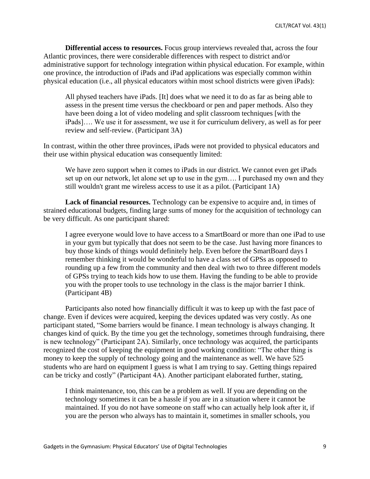**Differential access to resources.** Focus group interviews revealed that, across the four Atlantic provinces, there were considerable differences with respect to district and/or administrative support for technology integration within physical education. For example, within one province, the introduction of iPads and iPad applications was especially common within physical education (i.e., all physical educators within most school districts were given iPads):

All physed teachers have iPads. [It] does what we need it to do as far as being able to assess in the present time versus the checkboard or pen and paper methods. Also they have been doing a lot of video modeling and split classroom techniques [with the iPads]…. We use it for assessment, we use it for curriculum delivery, as well as for peer review and self-review. (Participant 3A)

In contrast, within the other three provinces, iPads were not provided to physical educators and their use within physical education was consequently limited:

We have zero support when it comes to iPads in our district. We cannot even get iPads set up on our network, let alone set up to use in the gym…. I purchased my own and they still wouldn't grant me wireless access to use it as a pilot. (Participant 1A)

**Lack of financial resources.** Technology can be expensive to acquire and, in times of strained educational budgets, finding large sums of money for the acquisition of technology can be very difficult. As one participant shared:

I agree everyone would love to have access to a SmartBoard or more than one iPad to use in your gym but typically that does not seem to be the case. Just having more finances to buy those kinds of things would definitely help. Even before the SmartBoard days I remember thinking it would be wonderful to have a class set of GPSs as opposed to rounding up a few from the community and then deal with two to three different models of GPSs trying to teach kids how to use them. Having the funding to be able to provide you with the proper tools to use technology in the class is the major barrier I think. (Participant 4B)

Participants also noted how financially difficult it was to keep up with the fast pace of change. Even if devices were acquired, keeping the devices updated was very costly. As one participant stated, "Some barriers would be finance. I mean technology is always changing. It changes kind of quick. By the time you get the technology, sometimes through fundraising, there is new technology" (Participant 2A). Similarly, once technology was acquired, the participants recognized the cost of keeping the equipment in good working condition: "The other thing is money to keep the supply of technology going and the maintenance as well. We have 525 students who are hard on equipment I guess is what I am trying to say. Getting things repaired can be tricky and costly" (Participant 4A). Another participant elaborated further, stating,

I think maintenance, too, this can be a problem as well. If you are depending on the technology sometimes it can be a hassle if you are in a situation where it cannot be maintained. If you do not have someone on staff who can actually help look after it, if you are the person who always has to maintain it, sometimes in smaller schools, you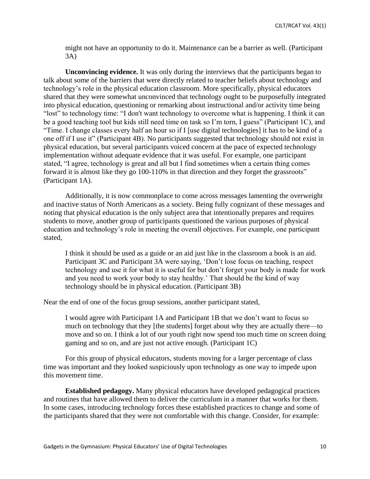might not have an opportunity to do it. Maintenance can be a barrier as well. (Participant 3A)

**Unconvincing evidence.** It was only during the interviews that the participants began to talk about some of the barriers that were directly related to teacher beliefs about technology and technology's role in the physical education classroom. More specifically, physical educators shared that they were somewhat unconvinced that technology ought to be purposefully integrated into physical education, questioning or remarking about instructional and/or activity time being "lost" to technology time: "I don't want technology to overcome what is happening. I think it can be a good teaching tool but kids still need time on task so I'm torn, I guess" (Participant 1C), and "Time. I change classes every half an hour so if I [use digital technologies] it has to be kind of a one off if I use it" (Participant 4B). No participants suggested that technology should not exist in physical education, but several participants voiced concern at the pace of expected technology implementation without adequate evidence that it was useful. For example, one participant stated, "I agree, technology is great and all but I find sometimes when a certain thing comes forward it is almost like they go 100-110% in that direction and they forget the grassroots" (Participant 1A).

Additionally, it is now commonplace to come across messages lamenting the overweight and inactive status of North Americans as a society. Being fully cognizant of these messages and noting that physical education is the only subject area that intentionally prepares and requires students to move, another group of participants questioned the various purposes of physical education and technology's role in meeting the overall objectives. For example, one participant stated,

I think it should be used as a guide or an aid just like in the classroom a book is an aid. Participant 3C and Participant 3A were saying, 'Don't lose focus on teaching, respect technology and use it for what it is useful for but don't forget your body is made for work and you need to work your body to stay healthy.' That should be the kind of way technology should be in physical education. (Participant 3B)

Near the end of one of the focus group sessions, another participant stated,

I would agree with Participant 1A and Participant 1B that we don't want to focus so much on technology that they [the students] forget about why they are actually there—to move and so on. I think a lot of our youth right now spend too much time on screen doing gaming and so on, and are just not active enough. (Participant 1C)

For this group of physical educators, students moving for a larger percentage of class time was important and they looked suspiciously upon technology as one way to impede upon this movement time.

**Established pedagogy.** Many physical educators have developed pedagogical practices and routines that have allowed them to deliver the curriculum in a manner that works for them. In some cases, introducing technology forces these established practices to change and some of the participants shared that they were not comfortable with this change. Consider, for example: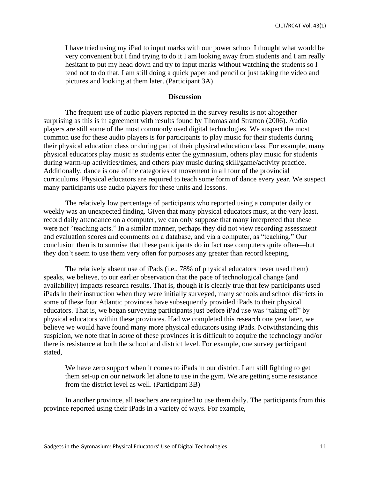I have tried using my iPad to input marks with our power school I thought what would be very convenient but I find trying to do it I am looking away from students and I am really hesitant to put my head down and try to input marks without watching the students so I tend not to do that. I am still doing a quick paper and pencil or just taking the video and pictures and looking at them later. (Participant 3A)

# **Discussion**

The frequent use of audio players reported in the survey results is not altogether surprising as this is in agreement with results found by Thomas and Stratton (2006). Audio players are still some of the most commonly used digital technologies. We suspect the most common use for these audio players is for participants to play music for their students during their physical education class or during part of their physical education class. For example, many physical educators play music as students enter the gymnasium, others play music for students during warm-up activities/times, and others play music during skill/game/activity practice. Additionally, dance is one of the categories of movement in all four of the provincial curriculums. Physical educators are required to teach some form of dance every year. We suspect many participants use audio players for these units and lessons.

The relatively low percentage of participants who reported using a computer daily or weekly was an unexpected finding. Given that many physical educators must, at the very least, record daily attendance on a computer, we can only suppose that many interpreted that these were not "teaching acts." In a similar manner, perhaps they did not view recording assessment and evaluation scores and comments on a database, and via a computer, as "teaching." Our conclusion then is to surmise that these participants do in fact use computers quite often—but they don't seem to use them very often for purposes any greater than record keeping.

The relatively absent use of iPads (i.e., 78% of physical educators never used them) speaks, we believe, to our earlier observation that the pace of technological change (and availability) impacts research results. That is, though it is clearly true that few participants used iPads in their instruction when they were initially surveyed, many schools and school districts in some of these four Atlantic provinces have subsequently provided iPads to their physical educators. That is, we began surveying participants just before iPad use was "taking off" by physical educators within these provinces. Had we completed this research one year later, we believe we would have found many more physical educators using iPads. Notwithstanding this suspicion, we note that in *some* of these provinces it is difficult to acquire the technology and/or there is resistance at both the school and district level. For example, one survey participant stated,

We have zero support when it comes to iPads in our district. I am still fighting to get them set-up on our network let alone to use in the gym. We are getting some resistance from the district level as well. (Participant 3B)

In another province, all teachers are required to use them daily. The participants from this province reported using their iPads in a variety of ways. For example,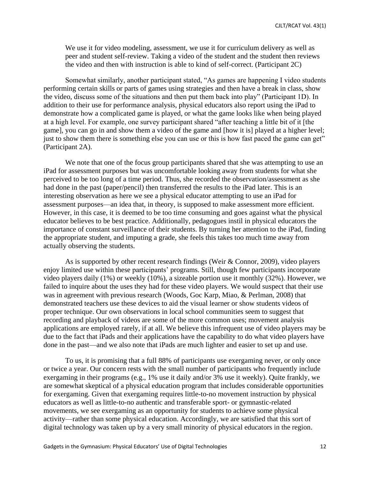We use it for video modeling, assessment, we use it for curriculum delivery as well as peer and student self-review. Taking a video of the student and the student then reviews the video and then with instruction is able to kind of self-correct. (Participant 2C)

Somewhat similarly, another participant stated, "As games are happening I video students performing certain skills or parts of games using strategies and then have a break in class, show the video, discuss some of the situations and then put them back into play" (Participant 1D). In addition to their use for performance analysis, physical educators also report using the iPad to demonstrate how a complicated game is played, or what the game looks like when being played at a high level. For example, one survey participant shared "after teaching a little bit of it [the game], you can go in and show them a video of the game and [how it is] played at a higher level; just to show them there is something else you can use or this is how fast paced the game can get" (Participant 2A).

We note that one of the focus group participants shared that she was attempting to use an iPad for assessment purposes but was uncomfortable looking away from students for what she perceived to be too long of a time period. Thus, she recorded the observation/assessment as she had done in the past (paper/pencil) then transferred the results to the iPad later. This is an interesting observation as here we see a physical educator attempting to use an iPad for assessment purposes—an idea that, in theory, is supposed to make assessment more efficient. However, in this case, it is deemed to be too time consuming and goes against what the physical educator believes to be best practice. Additionally, pedagogues instil in physical educators the importance of constant surveillance of their students. By turning her attention to the iPad, finding the appropriate student, and imputing a grade, she feels this takes too much time away from actually observing the students.

As is supported by other recent research findings (Weir & Connor, 2009), video players enjoy limited use within these participants' programs. Still, though few participants incorporate video players daily (1%) or weekly (10%), a sizeable portion use it monthly (32%). However, we failed to inquire about the uses they had for these video players. We would suspect that their use was in agreement with previous research (Woods, Goc Karp, Miao, & Perlman, 2008) that demonstrated teachers use these devices to aid the visual learner or show students videos of proper technique. Our own observations in local school communities seem to suggest that recording and playback of videos are some of the more common uses; movement analysis applications are employed rarely, if at all. We believe this infrequent use of video players may be due to the fact that iPads and their applications have the capability to do what video players have done in the past—and we also note that iPads are much lighter and easier to set up and use.

To us, it is promising that a full 88% of participants use exergaming never, or only once or twice a year. Our concern rests with the small number of participants who frequently include exergaming in their programs (e.g., 1% use it daily and/or 3% use it weekly). Quite frankly, we are somewhat skeptical of a physical education program that includes considerable opportunities for exergaming. Given that exergaming requires little-to-no movement instruction by physical educators as well as little-to-no authentic and transferable sport- or gymnastic-related movements, we see exergaming as an opportunity for students to achieve some physical activity—rather than some physical education. Accordingly, we are satisfied that this sort of digital technology was taken up by a very small minority of physical educators in the region.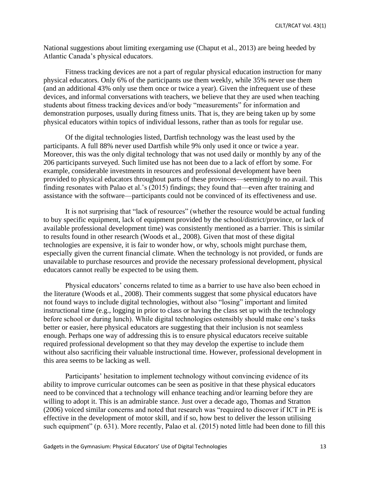National suggestions about limiting exergaming use (Chaput et al., 2013) are being heeded by Atlantic Canada's physical educators.

Fitness tracking devices are not a part of regular physical education instruction for many physical educators. Only 6% of the participants use them weekly, while 35% never use them (and an additional 43% only use them once or twice a year). Given the infrequent use of these devices, and informal conversations with teachers, we believe that they are used when teaching students about fitness tracking devices and/or body "measurements" for information and demonstration purposes, usually during fitness units. That is, they are being taken up by some physical educators within topics of individual lessons, rather than as tools for regular use.

Of the digital technologies listed, Dartfish technology was the least used by the participants. A full 88% never used Dartfish while 9% only used it once or twice a year. Moreover, this was the only digital technology that was not used daily or monthly by any of the 206 participants surveyed. Such limited use has not been due to a lack of effort by some. For example, considerable investments in resources and professional development have been provided to physical educators throughout parts of these provinces—seemingly to no avail. This finding resonates with Palao et al.'s (2015) findings; they found that—even after training and assistance with the software—participants could not be convinced of its effectiveness and use.

It is not surprising that "lack of resources" (whether the resource would be actual funding to buy specific equipment, lack of equipment provided by the school/district/province, or lack of available professional development time) was consistently mentioned as a barrier. This is similar to results found in other research (Woods et al., 2008). Given that most of these digital technologies are expensive, it is fair to wonder how, or why, schools might purchase them, especially given the current financial climate. When the technology is not provided, or funds are unavailable to purchase resources and provide the necessary professional development, physical educators cannot really be expected to be using them.

Physical educators' concerns related to time as a barrier to use have also been echoed in the literature (Woods et al., 2008). Their comments suggest that some physical educators have not found ways to include digital technologies, without also "losing" important and limited instructional time (e.g., logging in prior to class or having the class set up with the technology before school or during lunch). While digital technologies ostensibly should make one's tasks better or easier, here physical educators are suggesting that their inclusion is not seamless enough. Perhaps one way of addressing this is to ensure physical educators receive suitable required professional development so that they may develop the expertise to include them without also sacrificing their valuable instructional time. However, professional development in this area seems to be lacking as well.

Participants' hesitation to implement technology without convincing evidence of its ability to improve curricular outcomes can be seen as positive in that these physical educators need to be convinced that a technology will enhance teaching and/or learning before they are willing to adopt it. This is an admirable stance. Just over a decade ago, Thomas and Stratton (2006) voiced similar concerns and noted that research was "required to discover if ICT in PE is effective in the development of motor skill, and if so, how best to deliver the lesson utilising such equipment" (p. 631). More recently, Palao et al. (2015) noted little had been done to fill this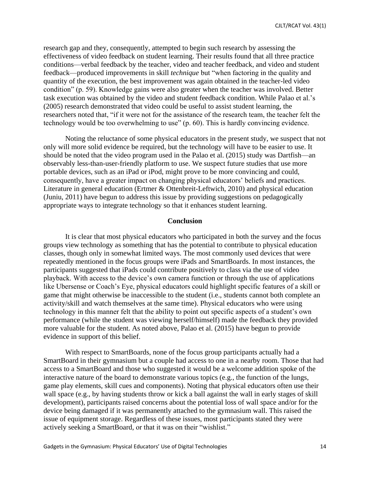research gap and they, consequently, attempted to begin such research by assessing the effectiveness of video feedback on student learning. Their results found that all three practice conditions—verbal feedback by the teacher, video and teacher feedback, and video and student feedback—produced improvements in skill *technique* but "when factoring in the quality and quantity of the execution, the best improvement was again obtained in the teacher-led video condition" (p. 59). Knowledge gains were also greater when the teacher was involved. Better task execution was obtained by the video and student feedback condition. While Palao et al.'s (2005) research demonstrated that video could be useful to assist student learning, the researchers noted that, "if it were not for the assistance of the research team, the teacher felt the technology would be too overwhelming to use" (p. 60). This is hardly convincing evidence.

Noting the reluctance of some physical educators in the present study, we suspect that not only will more solid evidence be required, but the technology will have to be easier to use. It should be noted that the video program used in the Palao et al. (2015) study was Dartfish—an observably less-than-user-friendly platform to use. We suspect future studies that use more portable devices, such as an iPad or iPod, might prove to be more convincing and could, consequently, have a greater impact on changing physical educators' beliefs and practices. Literature in general education (Ertmer & Ottenbreit-Leftwich, 2010) and physical education (Juniu, 2011) have begun to address this issue by providing suggestions on pedagogically appropriate ways to integrate technology so that it enhances student learning.

#### **Conclusion**

It is clear that most physical educators who participated in both the survey and the focus groups view technology as something that has the potential to contribute to physical education classes, though only in somewhat limited ways. The most commonly used devices that were repeatedly mentioned in the focus groups were iPads and SmartBoards. In most instances, the participants suggested that iPads could contribute positively to class via the use of video playback. With access to the device's own camera function or through the use of applications like Ubersense or Coach's Eye, physical educators could highlight specific features of a skill or game that might otherwise be inaccessible to the student (i.e., students cannot both complete an activity/skill and watch themselves at the same time). Physical educators who were using technology in this manner felt that the ability to point out specific aspects of a student's own performance (while the student was viewing herself/himself) made the feedback they provided more valuable for the student. As noted above, Palao et al. (2015) have begun to provide evidence in support of this belief.

With respect to SmartBoards, none of the focus group participants actually had a SmartBoard in their gymnasium but a couple had access to one in a nearby room. Those that had access to a SmartBoard and those who suggested it would be a welcome addition spoke of the interactive nature of the board to demonstrate various topics (e.g., the function of the lungs, game play elements, skill cues and components). Noting that physical educators often use their wall space (e.g., by having students throw or kick a ball against the wall in early stages of skill development), participants raised concerns about the potential loss of wall space and/or for the device being damaged if it was permanently attached to the gymnasium wall. This raised the issue of equipment storage. Regardless of these issues, most participants stated they were actively seeking a SmartBoard, or that it was on their "wishlist."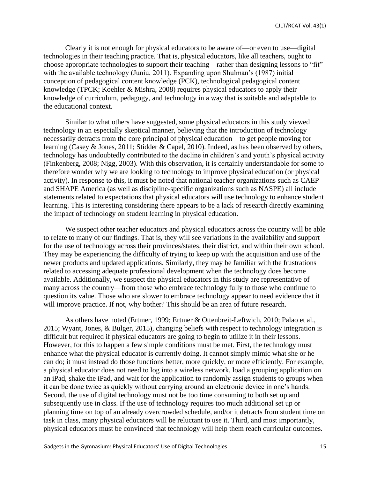Clearly it is not enough for physical educators to be aware of—or even to use—digital technologies in their teaching practice. That is, physical educators, like all teachers, ought to choose appropriate technologies to support their teaching—rather than designing lessons to "fit" with the available technology (Juniu, 2011). Expanding upon Shulman's (1987) initial conception of pedagogical content knowledge (PCK), technological pedagogical content knowledge (TPCK; Koehler & Mishra, 2008) requires physical educators to apply their knowledge of curriculum, pedagogy, and technology in a way that is suitable and adaptable to the educational context.

Similar to what others have suggested, some physical educators in this study viewed technology in an especially skeptical manner, believing that the introduction of technology necessarily detracts from the core principal of physical education—to get people moving for learning (Casey & Jones, 2011; Stidder & Capel, 2010). Indeed, as has been observed by others, technology has undoubtedly contributed to the decline in children's and youth's physical activity (Finkenberg, 2008; Nigg, 2003). With this observation, it is certainly understandable for some to therefore wonder why we are looking to technology to improve physical education (or physical activity). In response to this, it must be noted that national teacher organizations such as CAEP and SHAPE America (as well as discipline-specific organizations such as NASPE) all include statements related to expectations that physical educators will use technology to enhance student learning. This is interesting considering there appears to be a lack of research directly examining the impact of technology on student learning in physical education.

We suspect other teacher educators and physical educators across the country will be able to relate to many of our findings. That is, they will see variations in the availability and support for the use of technology across their provinces/states, their district, and within their own school. They may be experiencing the difficulty of trying to keep up with the acquisition and use of the newer products and updated applications. Similarly, they may be familiar with the frustrations related to accessing adequate professional development when the technology does become available. Additionally, we suspect the physical educators in this study are representative of many across the country—from those who embrace technology fully to those who continue to question its value. Those who are slower to embrace technology appear to need evidence that it will improve practice. If not, why bother? This should be an area of future research.

As others have noted (Ertmer, 1999; Ertmer & Ottenbreit-Leftwich, 2010; Palao et al., 2015; Wyant, Jones, & Bulger, 2015), changing beliefs with respect to technology integration is difficult but required if physical educators are going to begin to utilize it in their lessons. However, for this to happen a few simple conditions must be met. First, the technology must enhance what the physical educator is currently doing. It cannot simply mimic what she or he can do; it must instead do those functions better, more quickly, or more efficiently. For example, a physical educator does not need to log into a wireless network, load a grouping application on an iPad, shake the iPad, and wait for the application to randomly assign students to groups when it can be done twice as quickly without carrying around an electronic device in one's hands. Second, the use of digital technology must not be too time consuming to both set up and subsequently use in class. If the use of technology requires too much additional set up or planning time on top of an already overcrowded schedule, and/or it detracts from student time on task in class, many physical educators will be reluctant to use it. Third, and most importantly, physical educators must be convinced that technology will help them reach curricular outcomes.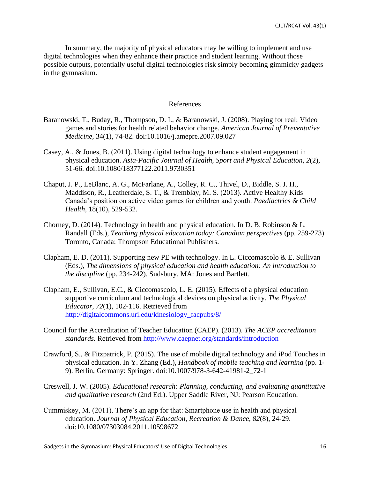In summary, the majority of physical educators may be willing to implement and use digital technologies when they enhance their practice and student learning. Without those possible outputs, potentially useful digital technologies risk simply becoming gimmicky gadgets in the gymnasium.

# References

- Baranowski, T., Buday, R., Thompson, D. I., & Baranowski, J. (2008). Playing for real: Video games and stories for health related behavior change. *American Journal of Preventative Medicine,* 34(1), 74-82. doi:10.1016/j.amepre.2007.09.027
- Casey, A., & Jones, B. (2011). Using digital technology to enhance student engagement in physical education. *Asia-Pacific Journal of Health, Sport and Physical Education, 2*(2), 51-66. doi:10.1080/18377122.2011.9730351
- Chaput, J. P., LeBlanc, A. G., McFarlane, A., Colley, R. C., Thivel, D., Biddle, S. J. H., Maddison, R., Leatherdale, S. T., & Tremblay, M. S. (2013). Active Healthy Kids Canada's position on active video games for children and youth. *Paediactrics & Child Health,* 18(10), 529-532.
- Chorney, D. (2014). Technology in health and physical education. In D. B. Robinson & L. Randall (Eds.), *Teaching physical education today: Canadian perspectives* (pp. 259-273). Toronto, Canada: Thompson Educational Publishers.
- Clapham, E. D. (2011). Supporting new PE with technology. In L. Ciccomascolo  $\&$  E. Sullivan (Eds.), *The dimensions of physical education and health education: An introduction to the discipline* (pp. 234-242). Sudsbury, MA: Jones and Bartlett.
- Clapham, E., Sullivan, E.C., & Ciccomascolo, L. E. (2015). Effects of a physical education supportive curriculum and technological devices on physical activity. *The Physical Educator, 72*(1), 102-116. Retrieved from [http://digitalcommons.uri.edu/kinesiology\\_facpubs/8/](http://digitalcommons.uri.edu/kinesiology_facpubs/8/)
- Council for the Accreditation of Teacher Education (CAEP). (2013). *The ACEP accreditation standards.* Retrieved from <http://www.caepnet.org/standards/introduction>
- Crawford, S., & Fitzpatrick, P. (2015). The use of mobile digital technology and iPod Touches in physical education. In Y. Zhang (Ed.), *Handbook of mobile teaching and learning* (pp. 1- 9). Berlin, Germany: Springer. doi:10.1007/978-3-642-41981-2\_72-1
- Creswell, J. W. (2005). *Educational research: Planning, conducting, and evaluating quantitative and qualitative research* (2nd Ed.). Upper Saddle River, NJ: Pearson Education.
- Cummiskey, M. (2011). There's an app for that: Smartphone use in health and physical education. *Journal of Physical Education, Recreation & Dance, 82*(8), 24-29. doi:10.1080/07303084.2011.10598672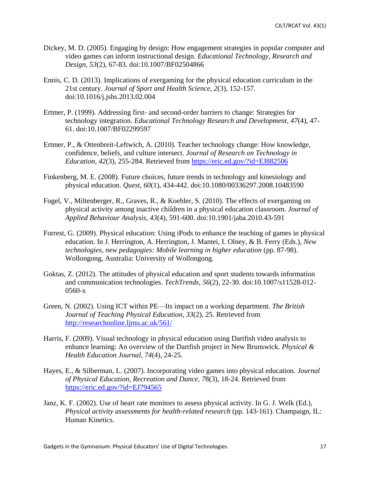- Dickey, M. D. (2005). Engaging by design: How engagement strategies in popular computer and video games can inform instructional design. *Educational Technology, Research and Design, 53*(2), 67-83. doi:10.1007/BF02504866
- Ennis, C. D. (2013). Implications of exergaming for the physical education curriculum in the 21st century. *Journal of Sport and Health Science, 2*(3), 152-157. doi:10.1016/j.jshs.2013.02.004
- Ertmer, P. (1999). Addressing first- and second-order barriers to change: Strategies for technology integration. *Educational Technology Research and Development, 47*(4), 47- 61. doi:10.1007/BF02299597
- Ertmer, P., & Ottenbreit-Leftwich, A. (2010). Teacher technology change: How knowledge, confidence, beliefs, and culture intersect. *Journal of Research on Technology in Education, 42*(3), 255-284. Retrieved from<https://eric.ed.gov/?id=EJ882506>
- Finkenberg, M. E. (2008). Future choices, future trends in technology and kinesiology and physical education. *Quest, 60*(1), 434-442. doi:10.1080/00336297.2008.10483590
- Fogel, V., Miltenberger, R., Graves, R., & Koehler, S. (2010). The effects of exergaming on physical activity among inactive children in a physical education classroom. *Journal of Applied Behaviour Analysis, 43*(4), 591-600. doi:10.1901/jaba.2010.43-591
- Forrest, G. (2009). Physical education: Using iPods to enhance the teaching of games in physical education. In J. Herrington, A. Herrington, J. Mantei, I. Olney, & B. Ferry (Eds.), *New technologies, new pedagogies: Mobile learning in higher education* (pp. 87-98). Wollongong, Australia: University of Wollongong.
- Goktas, Z. (2012). The attitudes of physical education and sport students towards information and communication technologies. *TechTrends, 56*(2), 22-30. doi:10.1007/s11528-012- 0560-x
- Green, N. (2002). Using ICT within PE—Its impact on a working department. *The British Journal of Teaching Physical Education, 33*(2), 25. Retrieved from <http://researchonline.ljmu.ac.uk/561/>
- Harris, F. (2009). Visual technology in physical education using Dartfish video analysis to enhance learning: An overview of the Dartfish project in New Brunswick. *Physical & Health Education Journal, 74*(4), 24-25.
- Hayes, E., & Silberman, L. (2007). Incorporating video games into physical education. *Journal of Physical Education, Recreation and Dance, 7*8(3), 18-24. Retrieved from <https://eric.ed.gov/?id=EJ794565>
- Janz, K. F. (2002). Use of heart rate monitors to assess physical activity. In G. J. Welk (Ed.), *Physical activity assessments for health-related research* (pp. 143-161). Champaign, IL: Human Kinetics.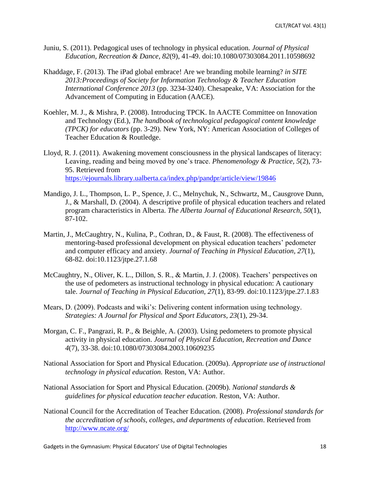- Juniu, S. (2011). Pedagogical uses of technology in physical education. *Journal of Physical Education, Recreation & Dance, 82*(9), 41-49. doi:10.1080/07303084.2011.10598692
- Khaddage, F. (2013). The iPad global embrace! Are we branding mobile learning? *in SITE 2013:Proceedings of Society for Information Technology & Teacher Education International Conference 2013* (pp. 3234-3240). Chesapeake, VA: Association for the Advancement of Computing in Education (AACE).
- Koehler, M. J., & Mishra, P. (2008). Introducing TPCK. In AACTE Committee on Innovation and Technology (Ed.), *The handbook of technological pedagogical content knowledge (TPCK) for educators* (pp. 3-29). New York, NY: American Association of Colleges of Teacher Education & Routledge.
- Lloyd, R. J. (2011). Awakening movement consciousness in the physical landscapes of literacy: Leaving, reading and being moved by one's trace. *Phenomenology & Practice, 5*(2), 73- 95. Retrieved from <https://ejournals.library.ualberta.ca/index.php/pandpr/article/view/19846>
- Mandigo, J. L., Thompson, L. P., Spence, J. C., Melnychuk, N., Schwartz, M., Causgrove Dunn, J., & Marshall, D. (2004). A descriptive profile of physical education teachers and related program characteristics in Alberta. *The Alberta Journal of Educational Research, 50*(1), 87-102.
- Martin, J., McCaughtry, N., Kulina, P., Cothran, D., & Faust, R. (2008). The effectiveness of mentoring-based professional development on physical education teachers' pedometer and computer efficacy and anxiety. *Journal of Teaching in Physical Education, 27*(1), 68-82. doi:10.1123/jtpe.27.1.68
- McCaughtry, N., Oliver, K. L., Dillon, S. R., & Martin, J. J. (2008). Teachers' perspectives on the use of pedometers as instructional technology in physical education: A cautionary tale. *Journal of Teaching in Physical Education, 27*(1), 83-99. doi:10.1123/jtpe.27.1.83
- Mears, D. (2009). Podcasts and wiki's: Delivering content information using technology. *Strategies: A Journal for Physical and Sport Educators, 23*(1), 29-34.
- Morgan, C. F., Pangrazi, R. P., & Beighle, A. (2003). Using pedometers to promote physical activity in physical education. *Journal of Physical Education, Recreation and Dance 4*(7), 33-38. doi:10.1080/07303084.2003.10609235
- National Association for Sport and Physical Education. (2009a). *Appropriate use of instructional technology in physical education.* Reston, VA: Author.
- National Association for Sport and Physical Education. (2009b). *National standards & guidelines for physical education teacher education*. Reston, VA: Author.
- National Council for the Accreditation of Teacher Education. (2008). *Professional standards for the accreditation of schools, colleges, and departments of education*. Retrieved from <http://www.ncate.org/>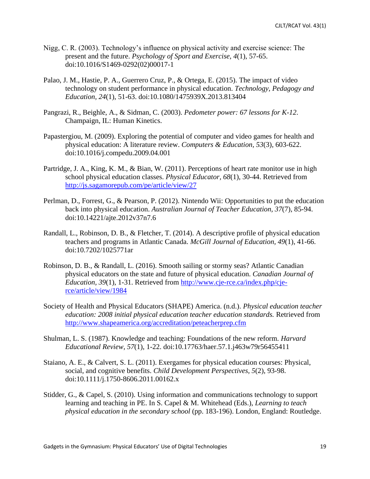- Nigg, C. R. (2003). Technology's influence on physical activity and exercise science: The present and the future. *Psychology of Sport and Exercise, 4*(1), 57-65. doi:10.1016/S1469-0292(02)00017-1
- Palao, J. M., Hastie, P. A., Guerrero Cruz, P., & Ortega, E. (2015). The impact of video technology on student performance in physical education. *Technology, Pedagogy and Education, 24*(1), 51-63. doi:10.1080/1475939X.2013.813404
- Pangrazi, R., Beighle, A., & Sidman, C. (2003). *Pedometer power: 67 lessons for K-12*. Champaign, IL: Human Kinetics.
- Papastergiou, M. (2009). Exploring the potential of computer and video games for health and physical education: A literature review. *Computers & Education, 53*(3), 603-622. doi:10.1016/j.compedu.2009.04.001
- Partridge, J. A., King, K. M., & Bian, W. (2011). Perceptions of heart rate monitor use in high school physical education classes. *Physical Educator, 68*(1), 30-44. Retrieved from <http://js.sagamorepub.com/pe/article/view/27>
- Perlman, D., Forrest, G., & Pearson, P. (2012). Nintendo Wii: Opportunities to put the education back into physical education. *Australian Journal of Teacher Education, 37*(7), 85-94. doi:10.14221/ajte.2012v37n7.6
- Randall, L., Robinson, D. B., & Fletcher, T. (2014). A descriptive profile of physical education teachers and programs in Atlantic Canada. *McGill Journal of Education, 49*(1), 41-66. doi:10.7202/1025771ar
- Robinson, D. B., & Randall, L. (2016). Smooth sailing or stormy seas? Atlantic Canadian physical educators on the state and future of physical education. *Canadian Journal of Education, 39*(1), 1-31. Retrieved from [http://www.cje-rce.ca/index.php/cje](http://www.cje-rce.ca/index.php/cje-rce/article/view/1984)[rce/article/view/1984](http://www.cje-rce.ca/index.php/cje-rce/article/view/1984)
- Society of Health and Physical Educators (SHAPE) America. (n.d.). *Physical education teacher education: 2008 initial physical education teacher education standards.* Retrieved from <http://www.shapeamerica.org/accreditation/peteacherprep.cfm>
- Shulman, L. S. (1987). Knowledge and teaching: Foundations of the new reform. *Harvard Educational Review, 57*(1), 1-22. doi:10.17763/haer.57.1.j463w79r56455411
- Staiano, A. E., & Calvert, S. L. (2011). Exergames for physical education courses: Physical, social, and cognitive benefits. *Child Development Perspectives, 5*(2), 93-98. doi:10.1111/j.1750-8606.2011.00162.x
- Stidder, G., & Capel, S. (2010). Using information and communications technology to support learning and teaching in PE. In S. Capel & M. Whitehead (Eds.), *Learning to teach physical education in the secondary school* (pp. 183-196). London, England: Routledge.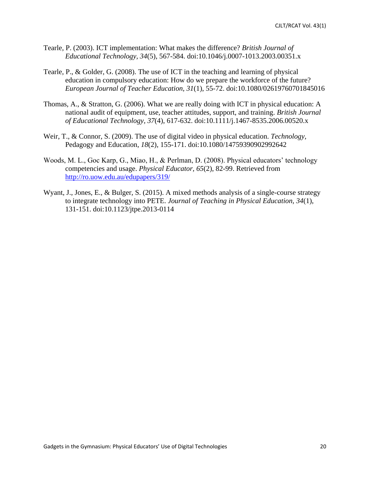- Tearle, P. (2003). ICT implementation: What makes the difference? *British Journal of Educational Technology, 34*(5), 567-584. doi:10.1046/j.0007-1013.2003.00351.x
- Tearle, P., & Golder, G. (2008). The use of ICT in the teaching and learning of physical education in compulsory education: How do we prepare the workforce of the future? *European Journal of Teacher Education, 31*(1), 55-72. doi:10.1080/02619760701845016
- Thomas, A., & Stratton, G. (2006). What we are really doing with ICT in physical education: A national audit of equipment, use, teacher attitudes, support, and training. *British Journal of Educational Technology, 37*(4), 617-632. doi:10.1111/j.1467-8535.2006.00520.x
- Weir, T., & Connor, S. (2009). The use of digital video in physical education. *Technology,*  Pedagogy and Education, *18*(2), 155-171. doi:10.1080/14759390902992642
- Woods, M. L., Goc Karp, G., Miao, H., & Perlman, D. (2008). Physical educators' technology competencies and usage. *Physical Educator, 65*(2), 82-99. Retrieved from <http://ro.uow.edu.au/edupapers/319/>
- Wyant, J., Jones, E., & Bulger, S. (2015). A mixed methods analysis of a single-course strategy to integrate technology into PETE. *Journal of Teaching in Physical Education, 34*(1), 131-151. doi:10.1123/jtpe.2013-0114